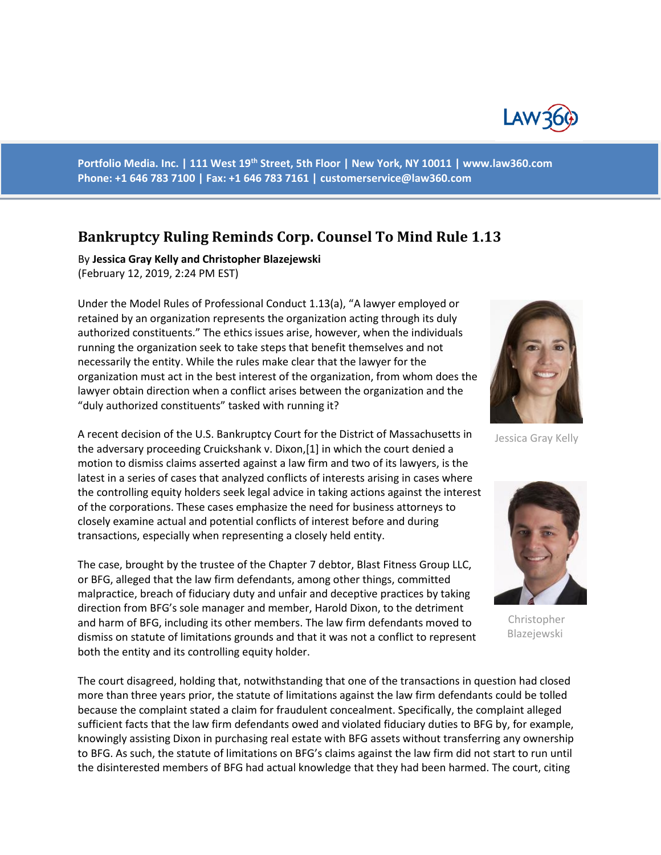

Portfolio Media. Inc. | 111 West 19<sup>th</sup> Street, 5th Floor | New York, NY 10011 | www.law360.com **Phone: +1 646 783 7100 | Fax: +1 646 783 7161 [| customerservice@law360.com](mailto:customerservice@law360.com)**

## **Bankruptcy Ruling Reminds Corp. Counsel To Mind Rule 1.13**

By **Jessica Gray Kelly and Christopher Blazejewski** (February 12, 2019, 2:24 PM EST)

Under the Model Rules of Professional Conduct 1.13(a), "A lawyer employed or retained by an organization represents the organization acting through its duly authorized constituents." The ethics issues arise, however, when the individuals running the organization seek to take steps that benefit themselves and not necessarily the entity. While the rules make clear that the lawyer for the organization must act in the best interest of the organization, from whom does the lawyer obtain direction when a conflict arises between the organization and the "duly authorized constituents" tasked with running it?

A recent decision of the U.S. Bankruptcy Court for the District of Massachusetts in Jessica Gray Kelly the adversary proceeding Cruickshank v. Dixon,[1] in which the court denied a motion to dismiss claims asserted against a law firm and two of its lawyers, is the latest in a series of cases that analyzed conflicts of interests arising in cases where the controlling equity holders seek legal advice in taking actions against the interest of the corporations. These cases emphasize the need for business attorneys to closely examine actual and potential conflicts of interest before and during transactions, especially when representing a closely held entity.

The case, brought by the trustee of the Chapter 7 debtor, Blast Fitness Group LLC, or BFG, alleged that the law firm defendants, among other things, committed malpractice, breach of fiduciary duty and unfair and deceptive practices by taking direction from BFG's sole manager and member, Harold Dixon, to the detriment and harm of BFG, including its other members. The law firm defendants moved to<br>dismiss on statute of limitations grounds and that it was not a conflict to represent Blazejewski dismiss on statute of limitations grounds and that it was not a conflict to represent both the entity and its controlling equity holder.

The court disagreed, holding that, notwithstanding that one of the transactions in question had closed more than three years prior, the statute of limitations against the law firm defendants could be tolled because the complaint stated a claim for fraudulent concealment. Specifically, the complaint alleged sufficient facts that the law firm defendants owed and violated fiduciary duties to BFG by, for example, knowingly assisting Dixon in purchasing real estate with BFG assets without transferring any ownership to BFG. As such, the statute of limitations on BFG's claims against the law firm did not start to run until the disinterested members of BFG had actual knowledge that they had been harmed. The court, citing



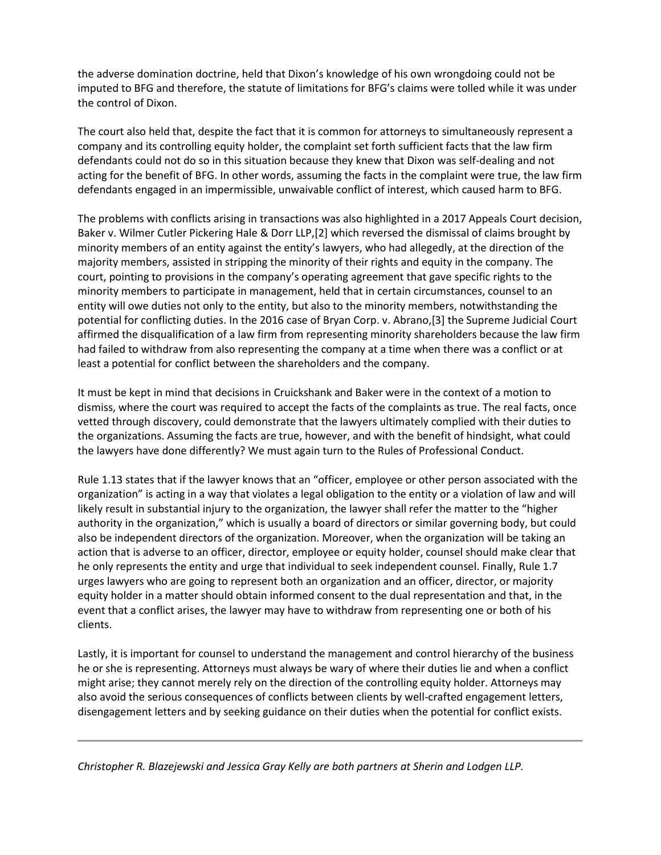the adverse domination doctrine, held that Dixon's knowledge of his own wrongdoing could not be imputed to BFG and therefore, the statute of limitations for BFG's claims were tolled while it was under the control of Dixon.

The court also held that, despite the fact that it is common for attorneys to simultaneously represent a company and its controlling equity holder, the complaint set forth sufficient facts that the law firm defendants could not do so in this situation because they knew that Dixon was self-dealing and not acting for the benefit of BFG. In other words, assuming the facts in the complaint were true, the law firm defendants engaged in an impermissible, unwaivable conflict of interest, which caused harm to BFG.

The problems with conflicts arising in transactions was also highlighted in a 2017 Appeals Court decision, Baker v. Wilmer Cutler Pickering Hale & Dorr LLP,[2] which reversed the dismissal of claims brought by minority members of an entity against the entity's lawyers, who had allegedly, at the direction of the majority members, assisted in stripping the minority of their rights and equity in the company. The court, pointing to provisions in the company's operating agreement that gave specific rights to the minority members to participate in management, held that in certain circumstances, counsel to an entity will owe duties not only to the entity, but also to the minority members, notwithstanding the potential for conflicting duties. In the 2016 case of Bryan Corp. v. Abrano,[3] the Supreme Judicial Court affirmed the disqualification of a law firm from representing minority shareholders because the law firm had failed to withdraw from also representing the company at a time when there was a conflict or at least a potential for conflict between the shareholders and the company.

It must be kept in mind that decisions in Cruickshank and Baker were in the context of a motion to dismiss, where the court was required to accept the facts of the complaints as true. The real facts, once vetted through discovery, could demonstrate that the lawyers ultimately complied with their duties to the organizations. Assuming the facts are true, however, and with the benefit of hindsight, what could the lawyers have done differently? We must again turn to the Rules of Professional Conduct.

Rule 1.13 states that if the lawyer knows that an "officer, employee or other person associated with the organization" is acting in a way that violates a legal obligation to the entity or a violation of law and will likely result in substantial injury to the organization, the lawyer shall refer the matter to the "higher authority in the organization," which is usually a board of directors or similar governing body, but could also be independent directors of the organization. Moreover, when the organization will be taking an action that is adverse to an officer, director, employee or equity holder, counsel should make clear that he only represents the entity and urge that individual to seek independent counsel. Finally, Rule 1.7 urges lawyers who are going to represent both an organization and an officer, director, or majority equity holder in a matter should obtain informed consent to the dual representation and that, in the event that a conflict arises, the lawyer may have to withdraw from representing one or both of his clients.

Lastly, it is important for counsel to understand the management and control hierarchy of the business he or she is representing. Attorneys must always be wary of where their duties lie and when a conflict might arise; they cannot merely rely on the direction of the controlling equity holder. Attorneys may also avoid the serious consequences of conflicts between clients by well-crafted engagement letters, disengagement letters and by seeking guidance on their duties when the potential for conflict exists.

*Christopher R. Blazejewski and Jessica Gray Kelly are both partners at Sherin and Lodgen LLP.*